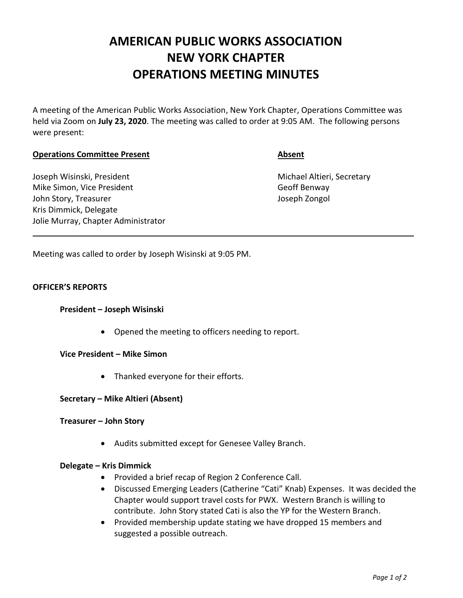# **AMERICAN PUBLIC WORKS ASSOCIATION NEW YORK CHAPTER OPERATIONS MEETING MINUTES**

A meeting of the American Public Works Association, New York Chapter, Operations Committee was held via Zoom on **July 23, 2020**. The meeting was called to order at 9:05 AM. The following persons were present:

## **Operations Committee Present Absent**

Joseph Wisinski, President Michael Altieri, Secretary Mike Simon, Vice President Geoff Benway John Story, Treasurer Joseph Zongol Kris Dimmick, Delegate Jolie Murray, Chapter Administrator

Meeting was called to order by Joseph Wisinski at 9:05 PM.

### **OFFICER'S REPORTS**

### **President – Joseph Wisinski**

• Opened the meeting to officers needing to report.

**Vice President – Mike Simon**

• Thanked everyone for their efforts.

### **Secretary – Mike Altieri (Absent)**

### **Treasurer – John Story**

• Audits submitted except for Genesee Valley Branch.

### **Delegate – Kris Dimmick**

- Provided a brief recap of Region 2 Conference Call.
- Discussed Emerging Leaders (Catherine "Cati" Knab) Expenses. It was decided the Chapter would support travel costs for PWX. Western Branch is willing to contribute. John Story stated Cati is also the YP for the Western Branch.
- Provided membership update stating we have dropped 15 members and suggested a possible outreach.